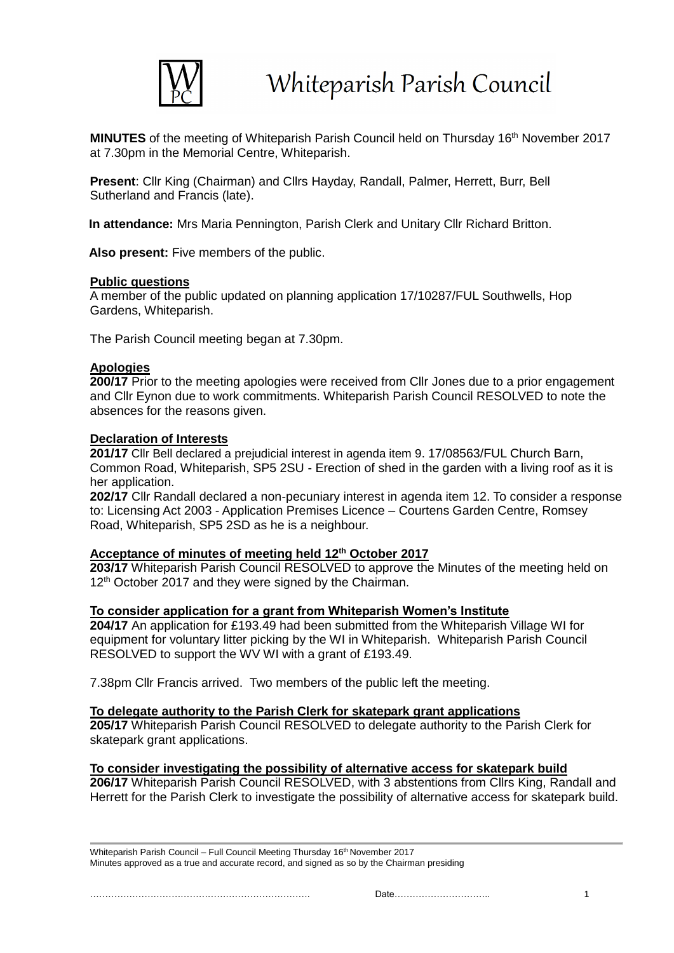

**MINUTES** of the meeting of Whiteparish Parish Council held on Thursday 16<sup>th</sup> November 2017 at 7.30pm in the Memorial Centre, Whiteparish.

**Present**: Cllr King (Chairman) and Cllrs Hayday, Randall, Palmer, Herrett, Burr, Bell Sutherland and Francis (late).

**In attendance:** Mrs Maria Pennington, Parish Clerk and Unitary Cllr Richard Britton.

**Also present:** Five members of the public.

#### **Public questions**

A member of the public updated on planning application 17/10287/FUL Southwells, Hop Gardens, Whiteparish.

The Parish Council meeting began at 7.30pm.

## **Apologies**

**200/17** Prior to the meeting apologies were received from Cllr Jones due to a prior engagement and Cllr Eynon due to work commitments. Whiteparish Parish Council RESOLVED to note the absences for the reasons given.

## **Declaration of Interests**

**201/17** Cllr Bell declared a prejudicial interest in agenda item 9. 17/08563/FUL Church Barn, Common Road, Whiteparish, SP5 2SU - Erection of shed in the garden with a living roof as it is her application.

**202/17** Cllr Randall declared a non-pecuniary interest in agenda item 12. To consider a response to: Licensing Act 2003 - Application Premises Licence – Courtens Garden Centre, Romsey Road, Whiteparish, SP5 2SD as he is a neighbour.

#### **Acceptance of minutes of meeting held 12th October 2017**

**203/17** Whiteparish Parish Council RESOLVED to approve the Minutes of the meeting held on 12<sup>th</sup> October 2017 and they were signed by the Chairman.

#### **To consider application for a grant from Whiteparish Women's Institute**

**204/17** An application for £193.49 had been submitted from the Whiteparish Village WI for equipment for voluntary litter picking by the WI in Whiteparish. Whiteparish Parish Council RESOLVED to support the WV WI with a grant of £193.49.

7.38pm Cllr Francis arrived. Two members of the public left the meeting.

#### **To delegate authority to the Parish Clerk for skatepark grant applications**

**205/17** Whiteparish Parish Council RESOLVED to delegate authority to the Parish Clerk for skatepark grant applications.

#### **To consider investigating the possibility of alternative access for skatepark build**

**206/17** Whiteparish Parish Council RESOLVED, with 3 abstentions from Cllrs King, Randall and Herrett for the Parish Clerk to investigate the possibility of alternative access for skatepark build.

Whiteparish Parish Council – Full Council Meeting Thursday 16th November 2017 Minutes approved as a true and accurate record, and signed as so by the Chairman presiding

………………………………………………………………. Date………………………….. 1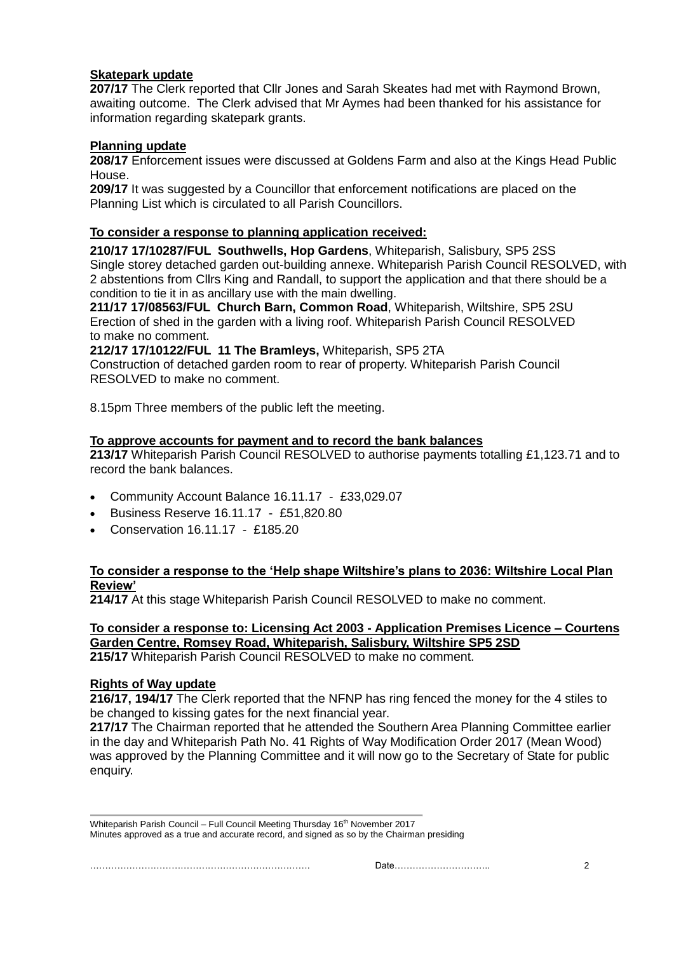# **Skatepark update**

**207/17** The Clerk reported that Cllr Jones and Sarah Skeates had met with Raymond Brown, awaiting outcome. The Clerk advised that Mr Aymes had been thanked for his assistance for information regarding skatepark grants.

# **Planning update**

**208/17** Enforcement issues were discussed at Goldens Farm and also at the Kings Head Public House.

**209/17** It was suggested by a Councillor that enforcement notifications are placed on the Planning List which is circulated to all Parish Councillors.

# **To consider a response to planning application received:**

**210/17 17/10287/FUL Southwells, Hop Gardens**, Whiteparish, Salisbury, SP5 2SS Single storey detached garden out-building annexe. Whiteparish Parish Council RESOLVED, with 2 abstentions from Cllrs King and Randall, to support the application and that there should be a condition to tie it in as ancillary use with the main dwelling.

**211/17 17/08563/FUL Church Barn, Common Road**, Whiteparish, Wiltshire, SP5 2SU Erection of shed in the garden with a living roof. Whiteparish Parish Council RESOLVED to make no comment.

**212/17 17/10122/FUL 11 The Bramleys,** Whiteparish, SP5 2TA

Construction of detached garden room to rear of property. Whiteparish Parish Council RESOLVED to make no comment.

8.15pm Three members of the public left the meeting.

# **To approve accounts for payment and to record the bank balances**

**213/17** Whiteparish Parish Council RESOLVED to authorise payments totalling £1,123.71 and to record the bank balances.

- Community Account Balance 16.11.17 £33,029.07
- Business Reserve 16.11.17 £51,820.80
- Conservation 16.11.17 £185.20

# **To consider a response to the 'Help shape Wiltshire's plans to 2036: Wiltshire Local Plan Review'**

**214/17** At this stage Whiteparish Parish Council RESOLVED to make no comment.

# **To consider a response to: Licensing Act 2003 - Application Premises Licence – Courtens Garden Centre, Romsey Road, Whiteparish, Salisbury, Wiltshire SP5 2SD**

**215/17** Whiteparish Parish Council RESOLVED to make no comment.

# **Rights of Way update**

**216/17, 194/17** The Clerk reported that the NFNP has ring fenced the money for the 4 stiles to be changed to kissing gates for the next financial year.

**217/17** The Chairman reported that he attended the Southern Area Planning Committee earlier in the day and Whiteparish Path No. 41 Rights of Way Modification Order 2017 (Mean Wood) was approved by the Planning Committee and it will now go to the Secretary of State for public enquiry.

Whiteparish Parish Council – Full Council Meeting Thursday 16<sup>th</sup> November 2017 Minutes approved as a true and accurate record, and signed as so by the Chairman presiding

………………………………………………………………. Date………………………….. 2